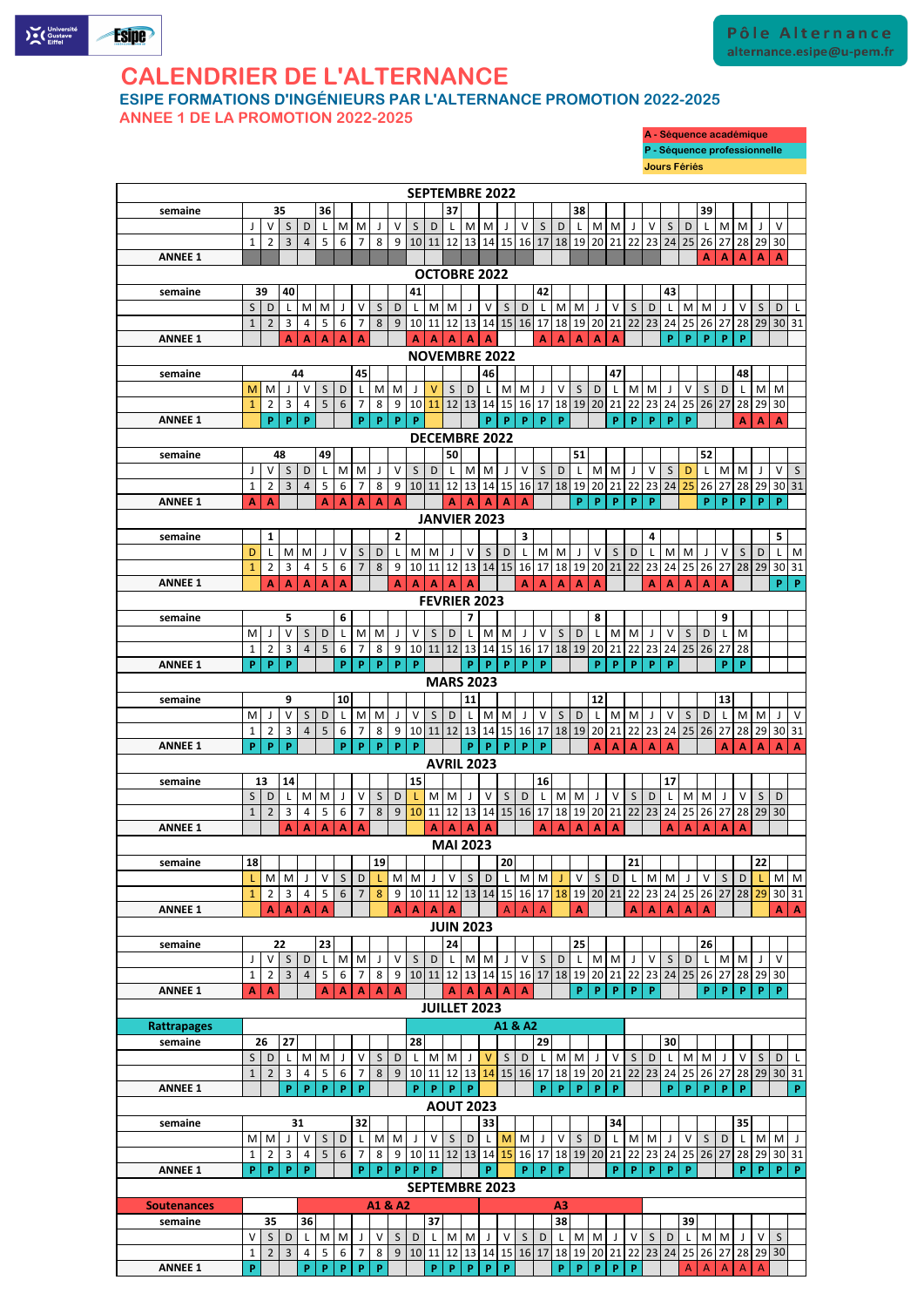

# **CALENDRIER DE L'ALTERNANCE**

**ESIPE FORMATIONS D'INGÉNIEURS PAR L'ALTERNANCE PROMOTION 2022-2025**

**ANNEE 1 DE LA PROMOTION 2022-2025**

|                                                          |                   |                     |                               |                     |                |                   |                     |                   |                     |                         |              | <b>SEPTEMBRE 2022</b>        |                         |              |                    |                                |                    |                                                                                                            |              |                |                                                                          |              |              |                          |              |                |              |                                                                                                            |            |                                                                                                                                 |
|----------------------------------------------------------|-------------------|---------------------|-------------------------------|---------------------|----------------|-------------------|---------------------|-------------------|---------------------|-------------------------|--------------|------------------------------|-------------------------|--------------|--------------------|--------------------------------|--------------------|------------------------------------------------------------------------------------------------------------|--------------|----------------|--------------------------------------------------------------------------|--------------|--------------|--------------------------|--------------|----------------|--------------|------------------------------------------------------------------------------------------------------------|------------|---------------------------------------------------------------------------------------------------------------------------------|
| semaine                                                  |                   | 35                  |                               |                     | 36             |                   |                     |                   |                     |                         |              | 37                           |                         |              |                    |                                |                    |                                                                                                            | 38           |                |                                                                          |              |              |                          |              | 39             |              |                                                                                                            |            |                                                                                                                                 |
|                                                          |                   | V                   | S                             | D                   | L              | M                 | M                   | J                 | $\vee$              | S                       | D            | L                            | M                       | M            | J                  | $\vee$                         | $\mathsf{S}$       | D                                                                                                          |              | M <sub>l</sub> | M                                                                        |              | $\vee$       | S                        | D            | L.             | M            | M                                                                                                          |            | V                                                                                                                               |
|                                                          | 1                 | $\overline{2}$      | 3                             | $\overline{4}$      | 5              | 6                 | $\overline{7}$      | 8                 | 9                   |                         |              |                              |                         |              |                    | 10 11 12 13 14 15 16 17        |                    |                                                                                                            |              |                | 18   19   20   21   22                                                   |              |              | $23 \mid 24$             | 25 26        |                | 27           |                                                                                                            | 28 29 30   |                                                                                                                                 |
| <b>ANNEE 1</b>                                           |                   |                     |                               |                     |                |                   |                     |                   |                     |                         |              |                              |                         |              |                    |                                |                    |                                                                                                            |              |                |                                                                          |              |              |                          |              | A              | A            | $\mathbf{A}$                                                                                               | A          | $\mathbf{A}$                                                                                                                    |
|                                                          |                   |                     |                               |                     |                |                   |                     |                   |                     |                         |              | <b>OCTOBRE 2022</b>          |                         |              |                    |                                |                    |                                                                                                            |              |                |                                                                          |              |              |                          |              |                |              |                                                                                                            |            |                                                                                                                                 |
| semaine                                                  | 39                |                     | 40                            |                     |                |                   |                     |                   |                     | 41                      |              |                              |                         |              |                    |                                | 42                 |                                                                                                            |              |                |                                                                          |              |              | 43                       |              |                |              |                                                                                                            |            |                                                                                                                                 |
|                                                          | S                 | D                   |                               | M                   | M              | J                 | $\vee$              | $\mathsf{S}$      | D                   | L                       | M            | I M                          |                         | $\vee$       | $\mathsf{S}$       | D                              | $\mathsf{L}$       | $\mathsf{M}% _{T}=\mathsf{M}_{T}\!\left( a,b\right) ,\ \mathsf{M}_{T}=\mathsf{M}_{T}\!\left( a,b\right) ,$ | M            |                | $\vee$                                                                   | S            | D            |                          | M            | M              |              | V                                                                                                          | S          | D                                                                                                                               |
|                                                          | $\mathbf{1}$      | $\overline{2}$      | 3                             | 4                   | 5              | 6                 | $\overline{7}$      | 8                 | 9 <sup>°</sup>      |                         |              |                              |                         |              |                    | 10 11 12 13 14 15 16 17        |                    | 18                                                                                                         |              |                | 19 20 21 22 23                                                           |              |              | 24                       | 25 26 27     |                |              |                                                                                                            |            | 28 29 30 31                                                                                                                     |
| <b>ANNEE 1</b>                                           |                   |                     | A                             | A                   | A              | $\mathbf{A}$      | $\mathbf{A}$        |                   |                     | A                       | $\mathbf{A}$ | A                            | $\mathbf{A}$            | A            |                    |                                | A                  | $\mathbf{A}$                                                                                               | $\mathbf{A}$ | A              | $\mathbf{A}$                                                             |              |              | P                        | P            | P              | P            | P                                                                                                          |            |                                                                                                                                 |
|                                                          |                   |                     |                               |                     |                |                   |                     |                   |                     |                         |              | <b>NOVEMBRE 2022</b>         |                         |              |                    |                                |                    |                                                                                                            |              |                |                                                                          |              |              |                          |              |                |              |                                                                                                            |            |                                                                                                                                 |
| semaine                                                  |                   |                     |                               | 44                  |                |                   | 45                  |                   |                     |                         |              |                              |                         | 46           |                    |                                |                    |                                                                                                            | S            |                | 47                                                                       |              |              |                          |              |                |              | 48                                                                                                         |            |                                                                                                                                 |
|                                                          | M<br>$\mathbf{1}$ | M<br>$\overline{2}$ | $\overline{3}$                | V<br>$\overline{4}$ | S<br>5         | $\mathsf D$<br>6  | L<br>$\overline{7}$ | M<br>8            | M<br>9 <sup>1</sup> | J<br>10 11              | v            | $\mathsf{S}$                 | D                       |              | M                  | M<br>12 13 14 15 16 17         | J                  | V                                                                                                          |              | D              | 18 19 20 21 22 23 24 25 26 27                                            | M            | M            |                          | $\vee$       | S              | D            | 28                                                                                                         | M<br>29 30 | M                                                                                                                               |
| <b>ANNEE 1</b>                                           |                   | P                   | P                             | P                   |                |                   | P                   | P                 | P                   | P                       |              |                              |                         | P            | P                  | P                              | P                  | P                                                                                                          |              |                | <b>P</b>                                                                 | P            | <b>P</b>     | P                        | P            |                |              | Δ                                                                                                          | A          | $\mathbf{A}$                                                                                                                    |
|                                                          |                   |                     |                               |                     |                |                   |                     |                   |                     |                         |              | <b>DECEMBRE 2022</b>         |                         |              |                    |                                |                    |                                                                                                            |              |                |                                                                          |              |              |                          |              |                |              |                                                                                                            |            |                                                                                                                                 |
| semaine                                                  |                   | 48                  |                               |                     | 49             |                   |                     |                   |                     |                         |              | 50                           |                         |              |                    |                                |                    |                                                                                                            | 51           |                |                                                                          |              |              |                          |              | 52             |              |                                                                                                            |            |                                                                                                                                 |
|                                                          |                   | v                   | S                             | D                   | L              | M                 | M                   | J                 | $\vee$              | S                       | D            |                              |                         | M M          | J                  | $\vee$                         | S                  | D                                                                                                          |              | M M            |                                                                          |              | $\vee$       | $\mathsf{S}$             | D            | $\mathsf{L}$   | M            | M                                                                                                          |            | S<br>$\vee$                                                                                                                     |
|                                                          | $\mathbf{1}$      | $\overline{2}$      | 3                             | $\overline{4}$      | 5              | 6                 | $\overline{7}$      | 8                 | 9                   | 10 11                   |              | 12                           | 13                      |              |                    | 14 15 16 17                    |                    | 18                                                                                                         | 19           |                | 20 21 22                                                                 |              | 23           | 24                       | 25           | 26             | 27           | 28                                                                                                         | 29         | 30 31                                                                                                                           |
| <b>ANNEE 1</b>                                           | $\mathbf{A}$      | $\mathbf{A}$        |                               |                     | A              | $\mathbf{A}$      | A                   | A                 | $\mathbf{A}$        |                         |              | A                            | $\mathbf{A}$            | $\mathbf{A}$ | $\mathbf{A}$       | $\mathbf{A}$                   |                    |                                                                                                            | P.           | P              | P                                                                        | P            | P            |                          |              | P.             | P            | P                                                                                                          | P.         | P                                                                                                                               |
|                                                          |                   |                     |                               |                     |                |                   |                     |                   |                     |                         |              | <b>JANVIER 2023</b>          |                         |              |                    |                                |                    |                                                                                                            |              |                |                                                                          |              |              |                          |              |                |              |                                                                                                            |            |                                                                                                                                 |
| semaine                                                  |                   | $\mathbf{1}$        |                               |                     |                |                   |                     |                   | $\overline{2}$      |                         |              |                              |                         |              |                    | 3                              |                    |                                                                                                            |              |                |                                                                          |              | 4            |                          |              |                |              |                                                                                                            |            | 5 <sub>1</sub>                                                                                                                  |
|                                                          | D                 |                     | M                             | M                   | J              | $\vee$            | S                   | D                 | $\mathsf{L}$        |                         | M   M        |                              | $\vee$                  | $\mathsf{S}$ | D                  | L                              | M                  | M                                                                                                          |              | $\vee$         | S                                                                        | D            |              | M                        | M            | J              | $\vee$       | S.                                                                                                         | D          | M<br>$\lfloor$                                                                                                                  |
|                                                          | $\mathbf{1}$      | $\overline{2}$      | $\overline{3}$                | 4                   | 5              | 6                 | $\overline{7}$      | 8                 | 9                   |                         |              |                              |                         |              |                    | 10 11 12 13 14 15 16 17        |                    | 18                                                                                                         |              |                | 19 20 21 22                                                              |              | 23           | 24                       | $25$   26    |                | 27           | 28                                                                                                         |            | 29 30 31                                                                                                                        |
| <b>ANNEE 1</b>                                           |                   | A                   | $\mathbf{A}$                  | $\mathbf{A}$        | $\mathbf{A}$   | A                 |                     |                   | A                   | A                       | $\mathbf{A}$ | $\mathbf{A}$                 | $\mathbf{A}$            |              |                    | A                              | $\mathbf{A}$       | $\mathbf{A}$                                                                                               | $\mathbf{A}$ | $\mathbf{A}$   |                                                                          |              | $\mathbf{A}$ | $\blacktriangle$         | $\mathbf{A}$ | $\mathbf{A}$   | $\mathbf{A}$ |                                                                                                            |            | P<br>P                                                                                                                          |
|                                                          |                   |                     |                               |                     |                |                   |                     |                   |                     |                         |              | <b>FEVRIER 2023</b>          |                         |              |                    |                                |                    |                                                                                                            |              |                |                                                                          |              |              |                          |              |                |              |                                                                                                            |            |                                                                                                                                 |
| semaine                                                  |                   |                     | 5                             |                     |                | 6                 |                     |                   |                     |                         |              |                              | $\overline{\mathbf{z}}$ |              |                    |                                |                    |                                                                                                            |              | 8              |                                                                          |              |              |                          |              |                | 9            |                                                                                                            |            |                                                                                                                                 |
|                                                          | M                 |                     | V                             | S                   | D              | L                 | M                   | M                 | J                   | V                       | $\mathsf{S}$ | D                            | -L                      | M            | M                  | J                              | $\vee$             | $\mathsf{S}$                                                                                               | D            |                | M                                                                        | M            |              | $\vee$                   | S            | D              | $\mathsf{L}$ | M                                                                                                          |            |                                                                                                                                 |
|                                                          | $\mathbf{1}$      | $\overline{2}$      | 3                             | 4                   | 5              | 6                 | 7                   | 8                 | $9 \mid$            |                         |              |                              |                         |              |                    |                                |                    |                                                                                                            |              |                | 10 11 12 13 14 15 16 17 18 19 20 21 22 23 24 25 26 27                    |              |              |                          |              |                |              | 28                                                                                                         |            |                                                                                                                                 |
| <b>ANNEE 1</b>                                           | P                 | P                   | $\vert \mathbf{P} \vert$      |                     |                |                   |                     | $P$ $P$ $P$ $P$   |                     | $\overline{\mathsf{P}}$ |              |                              |                         |              |                    | $P$ $P$ $P$ $P$                | $\pmb{\mathsf{P}}$ |                                                                                                            |              | P              | $P$ $P$ $P$                                                              |              |              | $\vert \mathbf{P} \vert$ |              |                | $\mathsf{P}$ | $\vert P \vert$                                                                                            |            |                                                                                                                                 |
| <b>MARS 2023</b><br>12<br>13<br>9<br>11<br>semaine<br>10 |                   |                     |                               |                     |                |                   |                     |                   |                     |                         |              |                              |                         |              |                    |                                |                    |                                                                                                            |              |                |                                                                          |              |              |                          |              |                |              |                                                                                                            |            |                                                                                                                                 |
|                                                          |                   |                     |                               |                     |                |                   |                     |                   |                     |                         |              |                              |                         |              |                    |                                |                    |                                                                                                            |              |                |                                                                          |              |              |                          |              |                |              |                                                                                                            |            |                                                                                                                                 |
|                                                          | M                 |                     | $\vee$                        | $\mathsf S$         | $\mathsf D$    | L                 | ${\sf M}$           | M                 |                     | V                       | $\mathsf{S}$ | D                            |                         | M            | M                  | J                              | $\mathsf{V}$       | S                                                                                                          | $\mathsf D$  | L              | MM                                                                       |              |              | $\vee$                   | S            | D              | $\mathsf{L}$ | $\mathsf{M}% _{T}=\mathsf{M}_{T}\!\left( a,b\right) ,\ \mathsf{M}_{T}=\mathsf{M}_{T}\!\left( a,b\right) ,$ | M          | $\vee$                                                                                                                          |
|                                                          | 1                 | $\overline{2}$      | 3                             | $\overline{4}$      | 5              | 6                 | $\overline{7}$      | 8                 | 9                   |                         | 10 11 12     |                              | 13                      |              |                    | 14 15 16 17                    |                    |                                                                                                            | 18 19        |                | 20 21 22                                                                 |              |              | 23 24 25 26              |              |                | 27           | 28                                                                                                         |            | 29 30 31                                                                                                                        |
| <b>ANNEE 1</b>                                           | P                 | P                   | P                             |                     |                | P                 | P                   | <b>P</b>          | P                   | P                       |              |                              | <b>P</b>                | P            | P                  | P                              | P                  |                                                                                                            |              | A              | $\mathbf{A}$                                                             | $\mathbf{A}$ | $\mathbf{A}$ | $\blacktriangle$         |              |                | A            | $\mathbf{A}$                                                                                               | A          | $\mathbf{A}$<br>$\mathbf{A}$                                                                                                    |
| <b>AVRIL 2023</b><br>13                                  |                   |                     |                               |                     |                |                   |                     |                   |                     |                         |              |                              |                         |              |                    |                                |                    |                                                                                                            |              |                |                                                                          |              |              |                          |              |                |              |                                                                                                            |            |                                                                                                                                 |
| semaine                                                  |                   |                     | 14                            |                     |                |                   |                     |                   |                     | 15                      |              |                              |                         |              |                    |                                | 16                 |                                                                                                            |              |                |                                                                          |              |              | 17                       |              |                |              |                                                                                                            |            |                                                                                                                                 |
|                                                          | $\mathsf{S}$      | D                   |                               | M                   | M              | $\perp$           | V                   | S.                | D                   |                         | M            | $\mathsf{M}$                 | $\mathbf{J}$            | $\vee$       | S                  | D                              |                    | M                                                                                                          | M            |                | $\vee$                                                                   | S            | D            |                          | M            | M              | $\mathbf{J}$ | V                                                                                                          | S          | D                                                                                                                               |
| <b>ANNEE 1</b>                                           | $\mathbf{1}$      | $\overline{2}$      | $\overline{3}$                | 4                   | 5              | $\boldsymbol{6}$  | $\overline{7}$      | 8                 | 9                   |                         | $\mathbf{A}$ | A                            |                         |              |                    | $10$ 11 12 13 14 15 16 17      | Δ                  |                                                                                                            |              |                | 18   19   20   21   22   23   24   25   26   27                          |              |              |                          |              |                | A            |                                                                                                            | 28 29 30   |                                                                                                                                 |
|                                                          |                   |                     | A                             | A                   | A              | A                 | Α                   |                   |                     |                         |              | <b>MAI 2023</b>              | $\mathbf{A}$            | $\mathbf{A}$ |                    |                                |                    |                                                                                                            | $\mathbf{A}$ | A              | Α                                                                        |              |              | Α                        | A            |                |              | А                                                                                                          |            |                                                                                                                                 |
|                                                          | 18                |                     |                               |                     |                |                   |                     |                   |                     |                         |              |                              |                         |              |                    |                                |                    |                                                                                                            |              |                |                                                                          |              |              |                          |              |                |              |                                                                                                            |            |                                                                                                                                 |
| semaine                                                  |                   | M                   | M                             | J                   | $\vee$         | $\mathsf{S}$      | D                   | 19                | M                   | M                       | $\perp$      | $\vee$                       | $\mathsf{S}$            | D            | 20<br>$\mathsf{L}$ | M                              | M                  |                                                                                                            | $\vee$       | S              | D                                                                        | 21           | M            | M                        | J            | $\vee$         | $\mathsf{S}$ | D                                                                                                          | 22         | M M                                                                                                                             |
|                                                          | $\mathbf{1}$      | $\overline{2}$      | 3                             | 4                   | 5              | 6                 | $\overline{7}$      | 8                 | 9                   |                         |              |                              |                         |              |                    | 10 11 12 13 14 15 16 17        |                    |                                                                                                            |              |                | 18 19 20 21 22 23 24 25 26 27                                            |              |              |                          |              |                |              | 28                                                                                                         |            | 29 30 31                                                                                                                        |
| <b>ANNEE 1</b>                                           |                   | A                   | $\mathbf{A}$                  | $\mathbf{A}$        | $\mathbf{A}$   |                   |                     |                   | A                   | A                       | $\mathbf{A}$ | $\mathbf{A}$                 |                         |              | A                  | $\overline{A}$                 | $\overline{A}$     |                                                                                                            | $\mathbf{A}$ |                |                                                                          | A            | $\mathbf{A}$ | $\mathbf{A}$             | $\mathbf{A}$ | $\overline{A}$ |              |                                                                                                            |            | $\mathbf{A}$<br>$\mathbf{A}$                                                                                                    |
|                                                          |                   |                     |                               |                     |                |                   |                     |                   |                     |                         |              | <b>JUIN 2023</b>             |                         |              |                    |                                |                    |                                                                                                            |              |                |                                                                          |              |              |                          |              |                |              |                                                                                                            |            |                                                                                                                                 |
| semaine                                                  |                   | 22                  |                               |                     | 23             |                   |                     |                   |                     |                         |              | 24                           |                         |              |                    |                                |                    |                                                                                                            | 25           |                |                                                                          |              |              |                          |              | 26             |              |                                                                                                            |            |                                                                                                                                 |
|                                                          |                   | V                   | $\mathsf{S}$                  | $\mathsf D$         | $\mathsf{L}$   | ${\sf M}$         | M                   | J                 | $\vee$              | S                       | D            |                              | M                       | M            | J                  | $\vee$                         | $\mathsf{S}$       | D                                                                                                          |              | M              | M                                                                        |              | $\vee$       | S                        | D            | L              | M            | M                                                                                                          |            | $\vee$                                                                                                                          |
|                                                          | $\mathbf 1$       | $\overline{2}$      | $\overline{3}$                | $\overline{4}$      | 5              | $\boldsymbol{6}$  | $\overline{7}$      | 8                 | 9                   |                         | 10 11        |                              |                         |              |                    |                                |                    |                                                                                                            |              |                | 12   13   14   15   16   17   18   19   20   21   22   23   24   25   26 |              |              |                          |              |                | 27           | 28                                                                                                         | 29 30      |                                                                                                                                 |
| <b>ANNEE 1</b>                                           | $\mathbf{A}$      | $\mathbf{A}$        |                               |                     | A              | $\mathbf{A}$      | A                   | $\mathbf{A}$      | $\mathbf{A}$        |                         |              | A                            | $\mathbf{A}$            | $\mathbf{A}$ | $\mathbf{A}$       | $\overline{A}$                 |                    |                                                                                                            | P.           | P              | P.                                                                       | P            | <b>P</b>     |                          |              | P.             | P            | <b>P</b>                                                                                                   | P          | P                                                                                                                               |
|                                                          |                   |                     |                               |                     |                |                   |                     |                   |                     |                         |              | <b>JUILLET 2023</b>          |                         |              |                    |                                |                    |                                                                                                            |              |                |                                                                          |              |              |                          |              |                |              |                                                                                                            |            |                                                                                                                                 |
|                                                          |                   |                     |                               |                     |                |                   |                     |                   |                     |                         |              |                              |                         |              |                    | A1 & A2                        |                    |                                                                                                            |              |                |                                                                          |              |              |                          |              |                |              |                                                                                                            |            |                                                                                                                                 |
|                                                          |                   |                     |                               |                     |                |                   |                     |                   |                     | 28                      |              |                              |                         |              |                    |                                | 29                 |                                                                                                            |              |                |                                                                          |              |              | 30                       |              |                |              |                                                                                                            |            |                                                                                                                                 |
| semaine                                                  | 26                |                     | 27                            |                     |                |                   |                     |                   |                     |                         |              |                              |                         | $\vee$       | S                  | $\mathsf D$                    |                    | M                                                                                                          | M            |                | $\vee$                                                                   | S            | D            |                          | M            | M              | J            | V                                                                                                          | S          | D                                                                                                                               |
|                                                          | S                 | D                   |                               | M                   | M              | J                 | V                   | S                 | $\mathsf D$         |                         |              | M M                          | $\perp$                 |              |                    |                                |                    |                                                                                                            |              |                |                                                                          |              |              |                          |              |                |              |                                                                                                            |            |                                                                                                                                 |
|                                                          | $\mathbf{1}$      | $\overline{2}$      | 3                             | $\overline{4}$      | 5              | 6                 | $\overline{7}$      | 8                 | 9                   |                         |              | $10 \mid 11 \mid 12 \mid 13$ |                         | 14           |                    | 15 16 17                       |                    | 18                                                                                                         | 19           |                | 20 21 22                                                                 |              | 23           | 24                       | $25$   26    |                | 27           | 28                                                                                                         |            | 29 30 31                                                                                                                        |
| <b>ANNEE 1</b>                                           |                   |                     | P                             | $\mathsf{P}$        | $\mathbf{P}$   | $\mathsf{P}$      | P                   |                   |                     | P.                      | P            | P                            | P                       |              |                    |                                | P.                 | $\mathsf{P}$                                                                                               | P            | P              | P                                                                        |              |              | P                        | $\mathsf{P}$ | P              | P            | P                                                                                                          |            | P                                                                                                                               |
|                                                          |                   |                     |                               |                     |                |                   |                     |                   |                     |                         |              | <b>AOUT 2023</b>             |                         |              |                    |                                |                    |                                                                                                            |              |                |                                                                          |              |              |                          |              |                |              |                                                                                                            |            |                                                                                                                                 |
| semaine                                                  |                   |                     |                               | 31                  |                |                   | 32                  |                   |                     |                         |              |                              |                         | 33           |                    |                                |                    |                                                                                                            |              |                | 34                                                                       |              |              |                          |              |                |              | 35                                                                                                         |            |                                                                                                                                 |
|                                                          |                   | M M                 | J                             | $\mathsf{V}$        | S              | $\mathsf D$       | L                   | M                 | M                   |                         | $\vee$       | S                            | D                       | L            | M                  | M                              |                    | $\vee$                                                                                                     | S            | D              | L                                                                        | M            | M            |                          | $\vee$       | $\mathsf{S}$   | D            | L                                                                                                          | M          | M<br>$\mathsf{J}$                                                                                                               |
|                                                          | $\mathbf{1}$      |                     | $2 \mid 3 \mid$               | $4 \mid$            | 5              | $6 \mid$          | 7 <sup>1</sup>      |                   |                     |                         |              |                              |                         |              |                    |                                |                    |                                                                                                            |              |                |                                                                          |              |              |                          |              |                |              |                                                                                                            |            | 8   9  10   11   12   13   14 <mark>  15</mark>   16   17   18   19   20   21   22   23   24   25   26   27   28   29   30   31 |
| <b>ANNEE 1</b>                                           | P                 | P                   | P                             |                     |                |                   | P                   | P.                | P.                  | P                       | P            |                              |                         | P            |                    | <b>P</b>                       | P                  | <b>P</b>                                                                                                   |              |                | P                                                                        | P            | <b>P</b>     |                          |              |                |              |                                                                                                            |            |                                                                                                                                 |
|                                                          |                   |                     |                               |                     |                |                   |                     |                   |                     |                         |              | <b>SEPTEMBRE 2023</b>        |                         |              |                    |                                |                    |                                                                                                            |              |                |                                                                          |              |              |                          |              |                |              |                                                                                                            |            |                                                                                                                                 |
|                                                          |                   |                     |                               |                     |                |                   |                     | A1 & A2           |                     |                         |              |                              |                         |              |                    |                                |                    | A3                                                                                                         |              |                |                                                                          |              |              |                          |              |                |              |                                                                                                            |            |                                                                                                                                 |
| <b>Rattrapages</b><br><b>Soutenances</b><br>semaine      |                   | 35                  |                               | 36                  |                |                   |                     |                   |                     |                         | 37           |                              |                         |              |                    |                                |                    | 38                                                                                                         |              |                |                                                                          |              |              |                          | 39           |                |              |                                                                                                            |            |                                                                                                                                 |
|                                                          | v<br>1            | S<br>$\overline{2}$ | $\mathsf D$<br>$\overline{3}$ | $\mathsf{L}$<br>4   | $\overline{5}$ | M M<br>$\sqrt{6}$ | J<br>$\overline{7}$ | $\mathsf{V}$<br>8 | S                   | D                       |              | M M                          |                         |              | $\vee$             | S<br>9 10 11 12 13 14 15 16 17 | $\mathsf D$        | $\lfloor \cdot \rfloor$                                                                                    | M M          |                | 18   19   20   21   22   23   24   25   26   27   28   29   30           | $\vee$       | $\mathsf{S}$ | D                        | L            | M M            |              | $\perp$                                                                                                    | $\vee$     | $\mathsf{S}$                                                                                                                    |

## **A - Séquence académique**

**P - Séquence professionnelle Jours Fériés**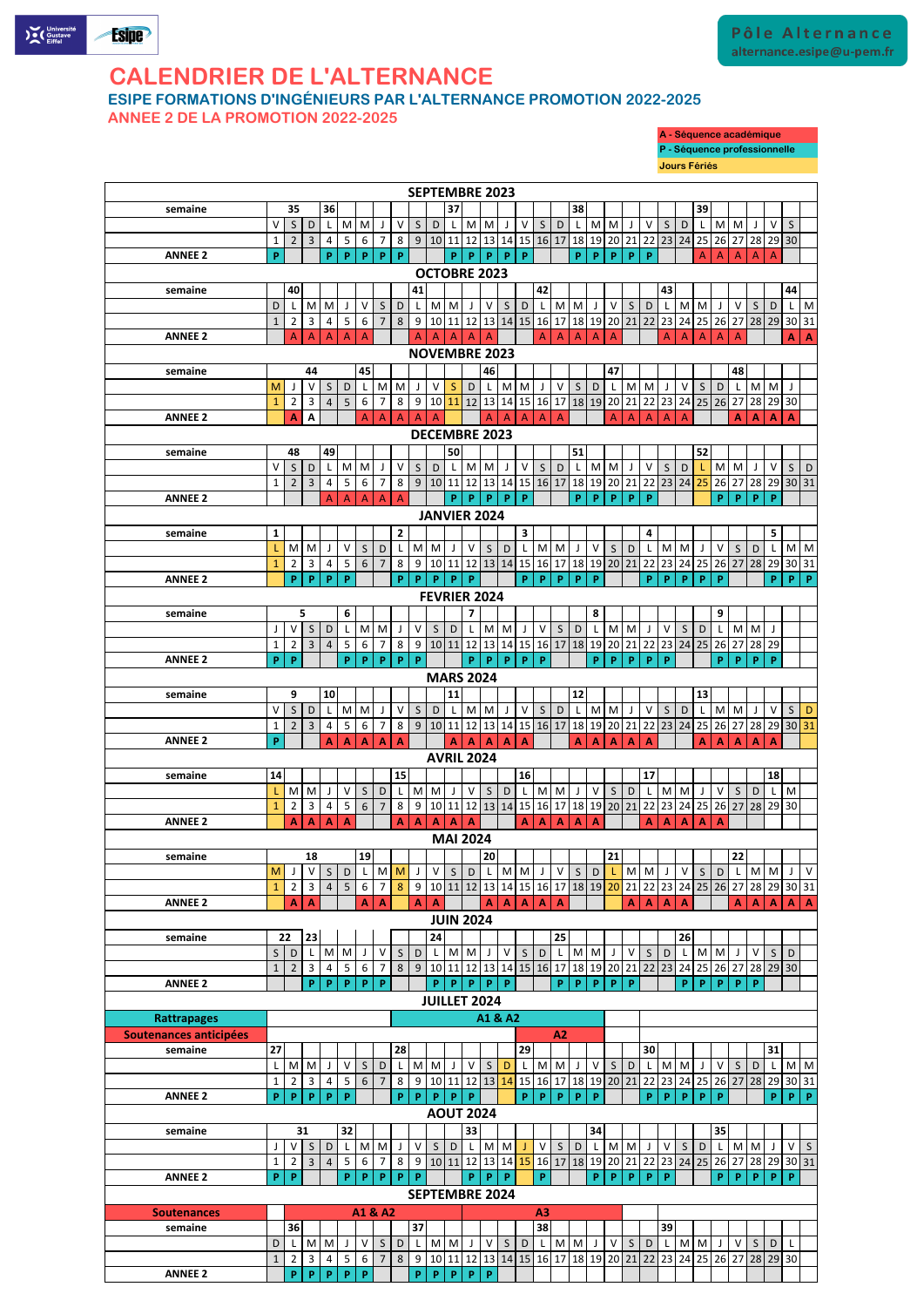

## **CALENDRIER DE L'ALTERNANCE**

**ESIPE FORMATIONS D'INGÉNIEURS PAR L'ALTERNANCE PROMOTION 2022-2025**

**ANNEE 2 DE LA PROMOTION 2022-2025**

#### V S D L M M J V S D L M M J V S D L M M J V S D L M M J V S D L M M J V S D 1 2 3 4 5 6 7 8 9 10 11 12 13 14 15 16 17 18 19 20 21 22 23 24 25 26 27 28 29 30 31 **ANNEE 2 P A A A A A A A A A A A A A A A A A A A A semaine 14 15 16 17 18**  $L$  M M J V S D L M M J V S D L M M J V S D L M M J V S D L M M J V S D L M 1 2 3 4 5 6 7 8 9 10 11 12 13 14 15 16 17 18 19 20 21 22 23 24 25 26 27 28 29 30 **ANNEE 2 A A A A A A A A A A A A A A A A A A A semaine 19 20 21 22** M J V S D L M M J V S D L M M J V S D L M M J V S D L M M J V S D L M M J V 1 2 3 4 5 6 7 8 9 10 11 12 13 14 15 16 17 18 19 20 21 22 23 24 25 26 27 28 29 30 31 **ANNEE 2 A A A A A A A A A A A A A A A A A A A A semaine 23 24 25 26**  $S$  D L M M J V S D L M M J V S D L M M J V S D L M M J V S D L M M J V S D **22 AVRIL 2024 MAI 2024 18 JUIN 2024**

**semaine 36 37 38 39**  $V$  S D L M M J V S D L M M J V S D L M M J V S D L M M J V S D L M M J V S 1 2 3 4 5 6 7 8 9 10 11 12 13 14 15 16 17 18 19 20 21 22 23 24 25 26 27 28 29 30 **ANNEE 2 P P P P P P P P P P P P P P P P** A A A A A **semaine 40 41 42 43 44** D L M M J V S D L M M J V S D L M M J V S D L M M J V S D L M M J V S D L M<br>1 2 3 4 5 6 7 8 9 10 11 12 13 14 15 16 17 18 19 20 21 22 23 24 25 26 27 28 29 30 31 1 2 3 4 5 6 7 8 9 10 11 12 13 14 15 16 17 18 19 20 21 22 23 24 25 26 27 28 29 30 31 **ANNEE 2** A A A A A A A A A A A A A A A A A A A A **A A semaine 45 46 47 48** M J V S D L M M J V S D L M M J V S D L M M J V S D L M M J V S D L M M J 1 2 3 4 5 6 7 8 9 10 11 12 13 14 15 16 17 18 19 20 21 22 23 24 25 26 27 28 29 30 **ANNEE 2 A A** A A A A A A A A A A A A A A A **A A A A semaine 49 50 51 52** V S D L M M J V S D L M M J V S D L M M J V S D L M M J V S D L M M J V S D 1 2 3 4 5 6 7 8 9 10 11 12 13 14 15 16 17 18 19 20 21 22 23 24 <mark>25</mark> 26 27 28 29 30 31 **ANNEE 2** A A A A A **P P P P P P P P P P P P P P semaine 1 2 3 4 5**  $L$  M M J V S D L M M J V S D L M M J V S D L M M J V S D L M M J V S D L M M 1 2 3 4 5 6 7 8 9 10 11 12 13 14 15 16 17 18 19 20 21 22 23 24 25 26 27 28 29 30 31 **ANNEE 2 P P P P P P P P P P P P P P P P P P P P P P semaine 6 7 8 9** J | V | S | D | L | M | M | J | V | S | D | L | M | M | J | V | S | D | L | M | M | J | V | S | D | L | M | M | J 1 2 3 4 5 6 7 8 9 10 11 12 13 14 15 16 17 18 19 20 21 22 23 24 25 26 27 28 29 **ANNEE 2 P P P P P P P P P P P P P P P P P P P P P semaine 10 11 12 13 5 MARS 2024 35 Jours Fériés OCTOBRE 2023 NOVEMBRE 2023 SEPTEMBRE 2023 9 44 DECEMBRE 2023 48 JANVIER 2024 FEVRIER 2024**

|                        | $\mathbf{1}$        | $\overline{2}$ | 3              | 4              | 5 | 6            | $\overline{7}$ | 8 <sup>1</sup> | 9                     |    |          |    |                |   |       |                |       |     |        |              |    |              |    |     |                |    | 10   11   12   13   14   15   16   17   18   19   20   21   22   23   24   25   26   27                |   | 28 29 30 |          |              |
|------------------------|---------------------|----------------|----------------|----------------|---|--------------|----------------|----------------|-----------------------|----|----------|----|----------------|---|-------|----------------|-------|-----|--------|--------------|----|--------------|----|-----|----------------|----|--------------------------------------------------------------------------------------------------------|---|----------|----------|--------------|
| <b>ANNEE 2</b>         |                     |                | P.             | P              | P | P            | P              |                |                       | P. | P        | P  | <b>P</b>       | P |       |                | P.    | P   | P      | P.           | P  |              |    | P.  | P              | P  | P.                                                                                                     | P |          |          |              |
|                        | <b>JUILLET 2024</b> |                |                |                |   |              |                |                |                       |    |          |    |                |   |       |                |       |     |        |              |    |              |    |     |                |    |                                                                                                        |   |          |          |              |
| <b>Rattrapages</b>     | A1 & A2             |                |                |                |   |              |                |                |                       |    |          |    |                |   |       |                |       |     |        |              |    |              |    |     |                |    |                                                                                                        |   |          |          |              |
| Soutenances anticipées |                     |                |                |                |   |              |                |                |                       |    |          |    |                |   |       |                | A2    |     |        |              |    |              |    |     |                |    |                                                                                                        |   |          |          |              |
| semaine                | 27                  |                |                |                |   |              |                | 28             |                       |    |          |    |                |   | 29    |                |       |     |        |              |    | 30           |    |     |                |    |                                                                                                        |   | 31       |          |              |
|                        |                     | M I            | M <sub>l</sub> |                | V | $\mathsf{S}$ | D              |                | M                     | M  |          | V  | $\mathsf{S}$   | D |       | M <sub>1</sub> | M     |     | $\vee$ | $\mathsf{S}$ | D  |              |    | M M |                | V  | S                                                                                                      | D |          |          | M M          |
|                        |                     | 2              | 3              | 4              | 5 | 6            | $\overline{7}$ | 8 <sup>1</sup> | 9                     |    |          |    |                |   |       |                |       |     |        |              |    |              |    |     |                |    | 10 11 12 13 14 15 16 17 18 19 20 21 22 23 24 25 26 27 28                                               |   |          | 29 30 31 |              |
| <b>ANNEE 2</b>         | P                   | P              | P              | P              | P |              |                | P.             | P                     | P. | P        | P  |                |   | P     | P.             | P.    | P   | P      |              |    | P.           | P. | P.  | P              | P  |                                                                                                        |   | P.       | P.       | $\mathsf{P}$ |
| <b>AOUT 2024</b>       |                     |                |                |                |   |              |                |                |                       |    |          |    |                |   |       |                |       |     |        |              |    |              |    |     |                |    |                                                                                                        |   |          |          |              |
|                        | 32<br>31            |                |                |                |   |              |                |                |                       |    |          |    |                |   |       |                |       |     |        |              |    |              |    |     |                |    |                                                                                                        |   |          |          |              |
| semaine                |                     |                |                |                |   |              |                |                |                       |    |          | 33 |                |   |       |                |       |     | 34     |              |    |              |    |     |                | 35 |                                                                                                        |   |          |          |              |
|                        |                     | v              | S.             | D              |   | M            | M              |                | v                     | S  | D        |    | M <sub>1</sub> | M |       | v              | S.    | D   |        | M            | M  |              | v  | S.  | D              |    | M                                                                                                      | M |          | v        | $\mathsf{S}$ |
|                        |                     | 2              | 3              | $\overline{4}$ | 5 | 6            |                | 8              | 9                     |    | 10 11 12 |    | 13             |   | 14 15 |                | 16 17 |     | 18 19  | 20           | 21 |              |    |     | 22 23 24 25 26 |    | 27                                                                                                     |   |          |          | 28 29 30 31  |
| <b>ANNEE 2</b>         | P.                  | P              |                |                | P | P            | P              | <b>p</b>       | P                     |    |          | P  | <b>D</b>       | P |       | P              |       |     | P      | <b>P</b>     | P  | <b>p</b>     | P  |     |                | P  | <b>P</b>                                                                                               | P | P.       | P        |              |
|                        |                     |                |                |                |   |              |                |                | <b>SEPTEMBRE 2024</b> |    |          |    |                |   |       |                |       |     |        |              |    |              |    |     |                |    |                                                                                                        |   |          |          |              |
| <b>Soutenances</b>     |                     |                |                |                |   | A1 & A2      |                |                |                       |    |          |    |                |   |       | A3             |       |     |        |              |    |              |    |     |                |    |                                                                                                        |   |          |          |              |
| semaine                |                     | 36             |                |                |   |              |                |                | 37                    |    |          |    |                |   |       | 38             |       |     |        |              |    |              | 39 |     |                |    |                                                                                                        |   |          |          |              |
|                        | D                   |                | M              | M              | J | V            | S              | D              |                       | M  | M        |    | V              | S | D     |                |       | M M | J      | V            | S  | $\mathsf{D}$ |    |     | $M$ $M$        | J  | V                                                                                                      | S | D        |          |              |
|                        | $\mathbf{1}$        | 2              | 3              | 4              | 5 | 6            | $\overline{7}$ | 8 <sup>1</sup> | 9                     |    |          |    |                |   |       |                |       |     |        |              |    |              |    |     |                |    | 10   11   12   13   14   15   16   17   18   19   20   21   22   23   24   25   26   27   28   29   30 |   |          |          |              |

| A - Séquence académique      |  |
|------------------------------|--|
| P - Séquence professionnelle |  |